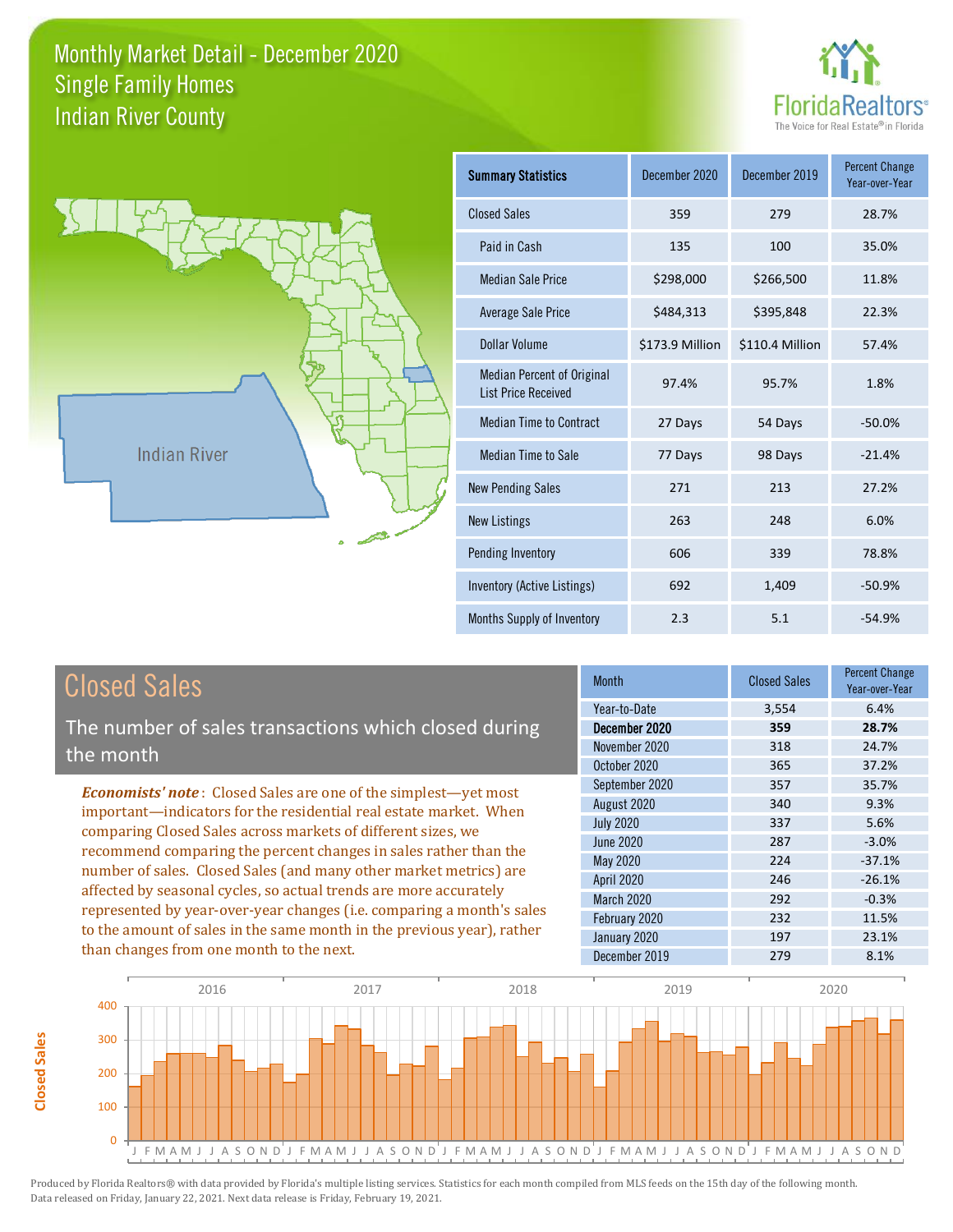



**Closed Sales**

**Closed Sales** 

| <b>Summary Statistics</b>                                       | December 2020   | December 2019   | <b>Percent Change</b><br>Year-over-Year |
|-----------------------------------------------------------------|-----------------|-----------------|-----------------------------------------|
| <b>Closed Sales</b>                                             | 359             | 279             | 28.7%                                   |
| Paid in Cash                                                    | 135             | 100             | 35.0%                                   |
| <b>Median Sale Price</b>                                        | \$298,000       | \$266,500       | 11.8%                                   |
| Average Sale Price                                              | \$484,313       | \$395,848       | 22.3%                                   |
| Dollar Volume                                                   | \$173.9 Million | \$110.4 Million | 57.4%                                   |
| <b>Median Percent of Original</b><br><b>List Price Received</b> | 97.4%           | 95.7%           | 1.8%                                    |
| <b>Median Time to Contract</b>                                  | 27 Days         | 54 Days         | $-50.0%$                                |
| <b>Median Time to Sale</b>                                      | 77 Days         | 98 Days         | $-21.4%$                                |
| <b>New Pending Sales</b>                                        | 271             | 213             | 27.2%                                   |
| <b>New Listings</b>                                             | 263             | 248             | 6.0%                                    |
| Pending Inventory                                               | 606             | 339             | 78.8%                                   |
| Inventory (Active Listings)                                     | 692             | 1,409           | $-50.9%$                                |
| Months Supply of Inventory                                      | 2.3             | 5.1             | $-54.9%$                                |

| <b>Closed Sales</b>                                                                                                               | <b>Month</b>      | <b>Closed Sales</b> | <b>Percent Change</b><br>Year-over-Year |
|-----------------------------------------------------------------------------------------------------------------------------------|-------------------|---------------------|-----------------------------------------|
|                                                                                                                                   | Year-to-Date      | 3,554               | 6.4%                                    |
| The number of sales transactions which closed during                                                                              | December 2020     | 359                 | 28.7%                                   |
| the month                                                                                                                         | November 2020     | 318                 | 24.7%                                   |
|                                                                                                                                   | October 2020      | 365                 | 37.2%                                   |
| <b>Economists' note:</b> Closed Sales are one of the simplest—yet most                                                            | September 2020    | 357                 | 35.7%                                   |
| important—indicators for the residential real estate market. When<br>comparing Closed Sales across markets of different sizes, we | August 2020       | 340                 | 9.3%                                    |
|                                                                                                                                   | <b>July 2020</b>  | 337                 | 5.6%                                    |
| recommend comparing the percent changes in sales rather than the                                                                  | June 2020         | 287                 | $-3.0%$                                 |
|                                                                                                                                   | May 2020          | 224                 | $-37.1%$                                |
| number of sales. Closed Sales (and many other market metrics) are                                                                 | <b>April 2020</b> | 246                 | $-26.1%$                                |
| affected by seasonal cycles, so actual trends are more accurately                                                                 | <b>March 2020</b> | 292                 | $-0.3%$                                 |
| represented by year-over-year changes (i.e. comparing a month's sales                                                             | February 2020     | 232                 | 11.5%                                   |
| to the amount of sales in the same month in the previous year), rather                                                            | January 2020      | 197                 | 23.1%                                   |
| than changes from one month to the next.                                                                                          | December 2019     | 279                 | 8.1%                                    |

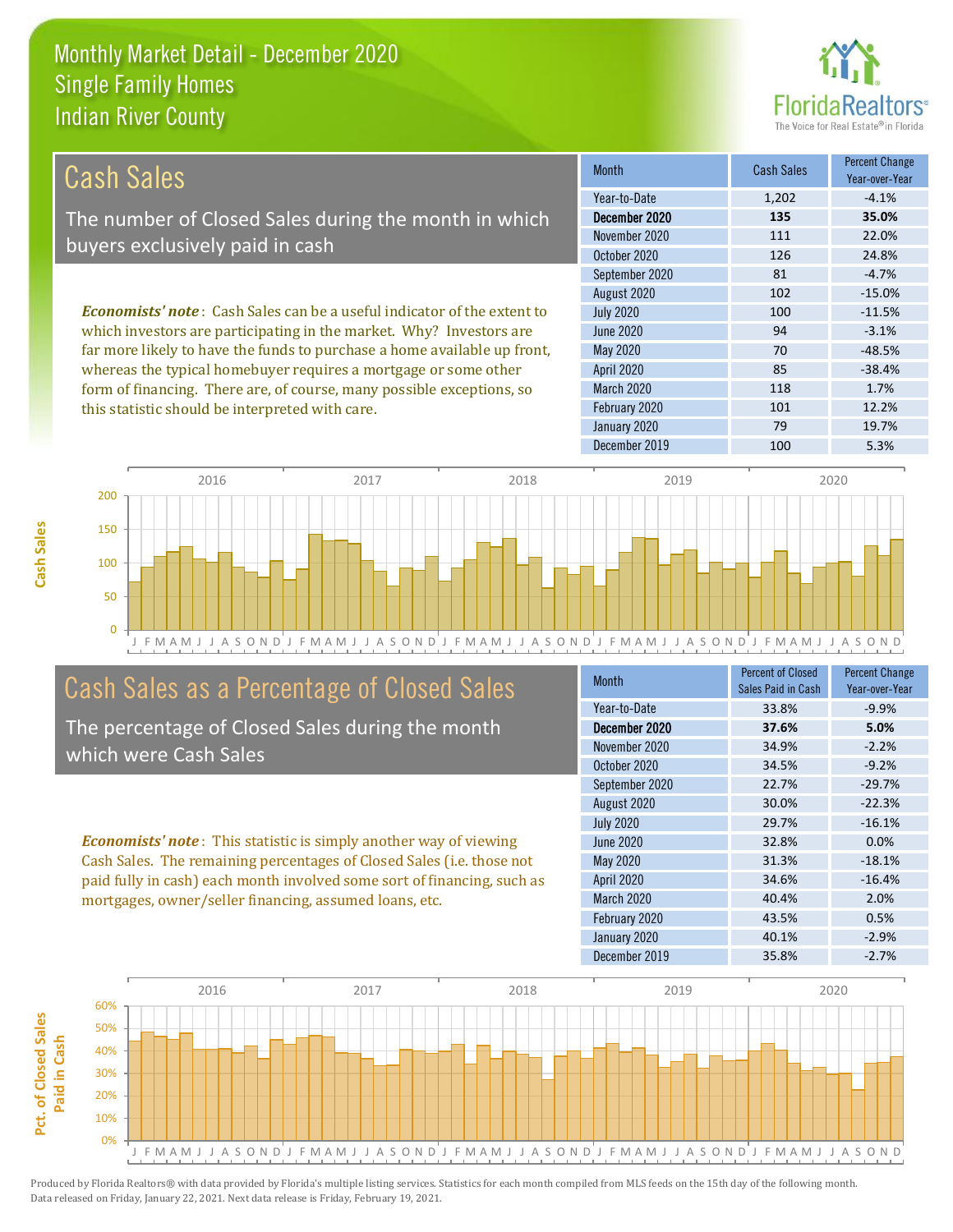this statistic should be interpreted with care.



101 12.2%

| <b>Cash Sales</b>                                                              | <b>Month</b>      | <b>Cash Sales</b> | <b>Percent Change</b><br>Year-over-Year |
|--------------------------------------------------------------------------------|-------------------|-------------------|-----------------------------------------|
|                                                                                | Year-to-Date      | 1,202             | $-4.1%$                                 |
| The number of Closed Sales during the month in which                           | December 2020     | 135               | 35.0%                                   |
| buyers exclusively paid in cash                                                | November 2020     | 111               | 22.0%                                   |
|                                                                                | October 2020      | 126               | 24.8%                                   |
|                                                                                | September 2020    | 81                | $-4.7%$                                 |
|                                                                                | August 2020       | 102               | $-15.0%$                                |
| <b>Economists' note:</b> Cash Sales can be a useful indicator of the extent to | <b>July 2020</b>  | 100               | $-11.5%$                                |
| which investors are participating in the market. Why? Investors are            | June 2020         | 94                | $-3.1%$                                 |
| far more likely to have the funds to purchase a home available up front,       | May 2020          | 70                | $-48.5%$                                |
| whereas the typical homebuyer requires a mortgage or some other                | <b>April 2020</b> | 85                | $-38.4%$                                |
| form of financing. There are, of course, many possible exceptions, so          | <b>March 2020</b> | 118               | 1.7%                                    |

February 2020



# Cash Sales as a Percentage of Closed Sales

The percentage of Closed Sales during the month which were Cash Sales

*Economists' note* : This statistic is simply another way of viewing Cash Sales. The remaining percentages of Closed Sales (i.e. those not paid fully in cash) each month involved some sort of financing, such as mortgages, owner/seller financing, assumed loans, etc.

| <b>Month</b>      | <b>Percent of Closed</b><br>Sales Paid in Cash | <b>Percent Change</b><br>Year-over-Year |
|-------------------|------------------------------------------------|-----------------------------------------|
| Year-to-Date      | 33.8%                                          | $-9.9%$                                 |
| December 2020     | 37.6%                                          | 5.0%                                    |
| November 2020     | 34.9%                                          | $-2.2%$                                 |
| October 2020      | 34.5%                                          | $-9.2%$                                 |
| September 2020    | 22.7%                                          | $-29.7%$                                |
| August 2020       | 30.0%                                          | $-22.3%$                                |
| <b>July 2020</b>  | 29.7%                                          | $-16.1%$                                |
| <b>June 2020</b>  | 32.8%                                          | 0.0%                                    |
| May 2020          | 31.3%                                          | $-18.1%$                                |
| <b>April 2020</b> | 34.6%                                          | $-16.4%$                                |
| March 2020        | 40.4%                                          | 2.0%                                    |
| February 2020     | 43.5%                                          | 0.5%                                    |
| January 2020      | 40.1%                                          | $-2.9%$                                 |
| December 2019     | 35.8%                                          | $-2.7%$                                 |

January 2020 79 19.7%

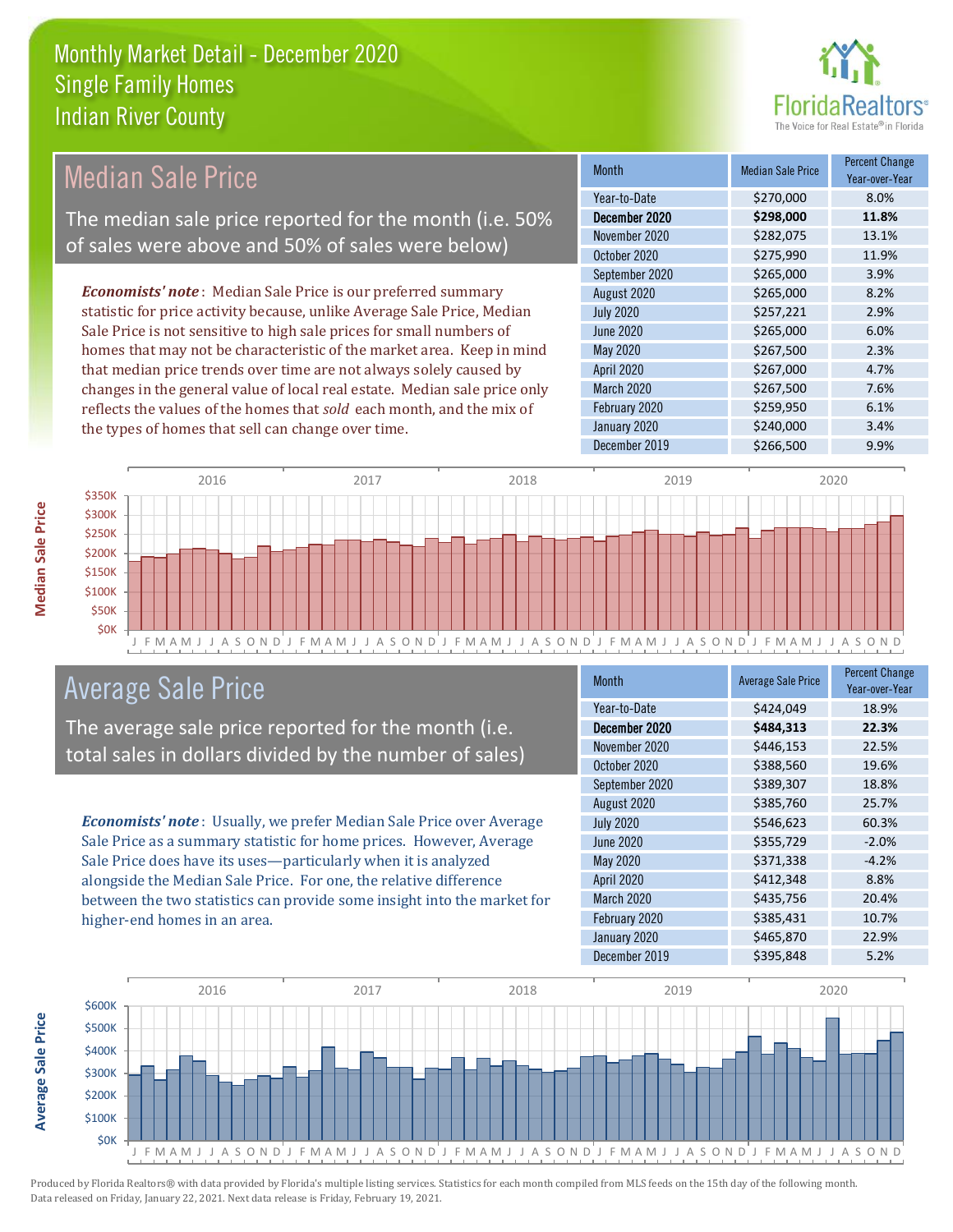

# Median Sale Price

The median sale price reported for the month (i.e. 50% of sales were above and 50% of sales were below)

*Economists' note* : Median Sale Price is our preferred summary statistic for price activity because, unlike Average Sale Price, Median Sale Price is not sensitive to high sale prices for small numbers of homes that may not be characteristic of the market area. Keep in mind that median price trends over time are not always solely caused by changes in the general value of local real estate. Median sale price only reflects the values of the homes that *sold* each month, and the mix of the types of homes that sell can change over time.

| <b>Month</b>      | <b>Median Sale Price</b> | <b>Percent Change</b><br>Year-over-Year |
|-------------------|--------------------------|-----------------------------------------|
| Year-to-Date      | \$270,000                | 8.0%                                    |
| December 2020     | \$298,000                | 11.8%                                   |
| November 2020     | \$282,075                | 13.1%                                   |
| October 2020      | \$275,990                | 11.9%                                   |
| September 2020    | \$265,000                | 3.9%                                    |
| August 2020       | \$265,000                | 8.2%                                    |
| <b>July 2020</b>  | \$257,221                | 2.9%                                    |
| <b>June 2020</b>  | \$265,000                | 6.0%                                    |
| May 2020          | \$267,500                | 2.3%                                    |
| <b>April 2020</b> | \$267,000                | 4.7%                                    |
| March 2020        | \$267,500                | 7.6%                                    |
| February 2020     | \$259,950                | 6.1%                                    |
| January 2020      | \$240,000                | 3.4%                                    |
| December 2019     | \$266,500                | 9.9%                                    |



### Average Sale Price

The average sale price reported for the month (i.e. total sales in dollars divided by the number of sales)

*Economists' note* : Usually, we prefer Median Sale Price over Average Sale Price as a summary statistic for home prices. However, Average Sale Price does have its uses—particularly when it is analyzed alongside the Median Sale Price. For one, the relative difference between the two statistics can provide some insight into the market for higher-end homes in an area.

| <b>Month</b>      | <b>Average Sale Price</b> | <b>Percent Change</b><br>Year-over-Year |
|-------------------|---------------------------|-----------------------------------------|
| Year-to-Date      | \$424,049                 | 18.9%                                   |
| December 2020     | \$484,313                 | 22.3%                                   |
| November 2020     | \$446,153                 | 22.5%                                   |
| October 2020      | \$388,560                 | 19.6%                                   |
| September 2020    | \$389,307                 | 18.8%                                   |
| August 2020       | \$385,760                 | 25.7%                                   |
| <b>July 2020</b>  | \$546,623                 | 60.3%                                   |
| <b>June 2020</b>  | \$355,729                 | $-2.0%$                                 |
| May 2020          | \$371,338                 | $-4.2%$                                 |
| <b>April 2020</b> | \$412,348                 | 8.8%                                    |
| March 2020        | \$435,756                 | 20.4%                                   |
| February 2020     | \$385,431                 | 10.7%                                   |
| January 2020      | \$465,870                 | 22.9%                                   |
| December 2019     | \$395,848                 | 5.2%                                    |



**Average Sale Price**

**Average Sale Price**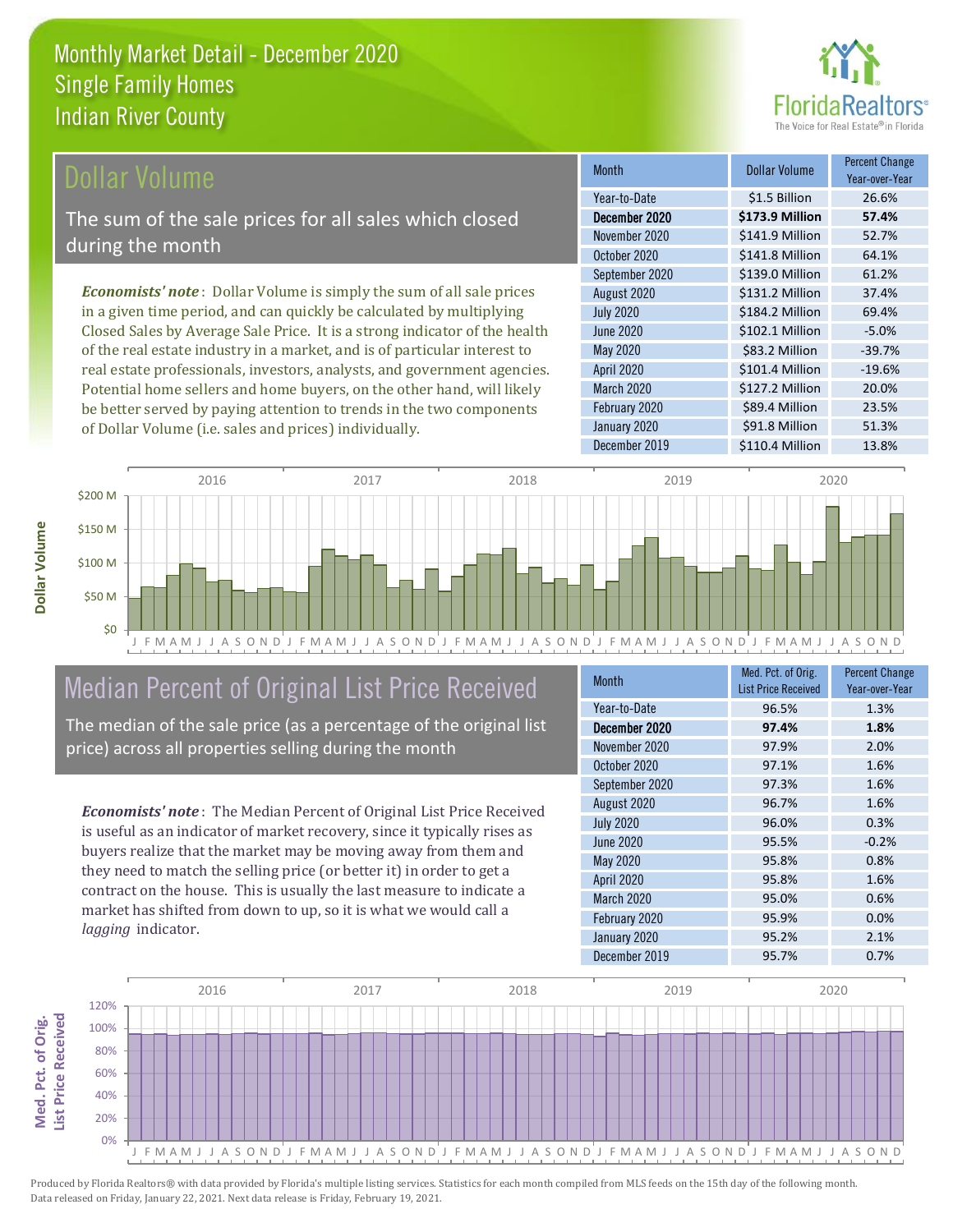

#### **Ollar Volume**

The sum of the sale prices for all sales which closed during the month

*Economists' note* : Dollar Volume is simply the sum of all sale prices in a given time period, and can quickly be calculated by multiplying Closed Sales by Average Sale Price. It is a strong indicator of the health of the real estate industry in a market, and is of particular interest to real estate professionals, investors, analysts, and government agencies. Potential home sellers and home buyers, on the other hand, will likely be better served by paying attention to trends in the two components of Dollar Volume (i.e. sales and prices) individually.

| <b>Month</b>      | Dollar Volume   | <b>Percent Change</b><br>Year-over-Year |
|-------------------|-----------------|-----------------------------------------|
| Year-to-Date      | \$1.5 Billion   | 26.6%                                   |
| December 2020     | \$173.9 Million | 57.4%                                   |
| November 2020     | \$141.9 Million | 52.7%                                   |
| October 2020      | \$141.8 Million | 64.1%                                   |
| September 2020    | \$139.0 Million | 61.2%                                   |
| August 2020       | \$131.2 Million | 37.4%                                   |
| <b>July 2020</b>  | \$184.2 Million | 69.4%                                   |
| <b>June 2020</b>  | \$102.1 Million | $-5.0%$                                 |
| May 2020          | \$83.2 Million  | $-39.7%$                                |
| <b>April 2020</b> | \$101.4 Million | $-19.6%$                                |
| March 2020        | \$127.2 Million | 20.0%                                   |
| February 2020     | \$89.4 Million  | 23.5%                                   |
| January 2020      | \$91.8 Million  | 51.3%                                   |
| December 2019     | \$110.4 Million | 13.8%                                   |



# Median Percent of Original List Price Received

The median of the sale price (as a percentage of the original list price) across all properties selling during the month

*Economists' note* : The Median Percent of Original List Price Received is useful as an indicator of market recovery, since it typically rises as buyers realize that the market may be moving away from them and they need to match the selling price (or better it) in order to get a contract on the house. This is usually the last measure to indicate a market has shifted from down to up, so it is what we would call a *lagging* indicator.

| <b>Month</b>      | Med. Pct. of Orig.<br><b>List Price Received</b> | <b>Percent Change</b><br>Year-over-Year |
|-------------------|--------------------------------------------------|-----------------------------------------|
| Year-to-Date      | 96.5%                                            | 1.3%                                    |
| December 2020     | 97.4%                                            | 1.8%                                    |
| November 2020     | 97.9%                                            | 2.0%                                    |
| October 2020      | 97.1%                                            | 1.6%                                    |
| September 2020    | 97.3%                                            | 1.6%                                    |
| August 2020       | 96.7%                                            | 1.6%                                    |
| <b>July 2020</b>  | 96.0%                                            | 0.3%                                    |
| <b>June 2020</b>  | 95.5%                                            | $-0.2%$                                 |
| May 2020          | 95.8%                                            | 0.8%                                    |
| <b>April 2020</b> | 95.8%                                            | 1.6%                                    |
| <b>March 2020</b> | 95.0%                                            | 0.6%                                    |
| February 2020     | 95.9%                                            | 0.0%                                    |
| January 2020      | 95.2%                                            | 2.1%                                    |
| December 2019     | 95.7%                                            | 0.7%                                    |

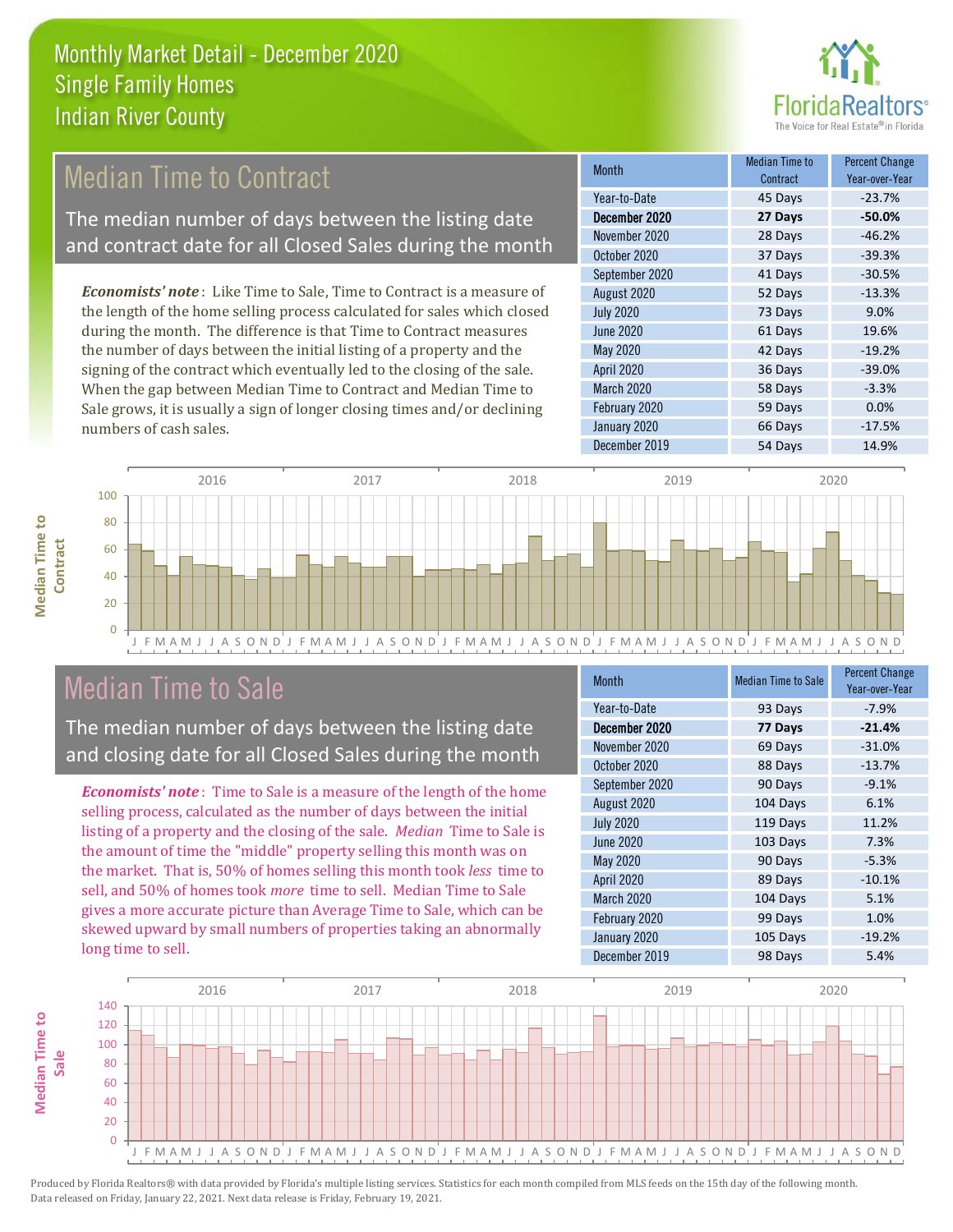

# **Median Time to Contract**

The median number of days between the listing date and contract date for all Closed Sales during the month

*Economists' note* : Like Time to Sale, Time to Contract is a measure of the length of the home selling process calculated for sales which closed during the month. The difference is that Time to Contract measures the number of days between the initial listing of a property and the signing of the contract which eventually led to the closing of the sale. When the gap between Median Time to Contract and Median Time to Sale grows, it is usually a sign of longer closing times and/or declining numbers of cash sales.

| <b>Month</b>      | Median Time to<br>Contract | <b>Percent Change</b><br>Year-over-Year |
|-------------------|----------------------------|-----------------------------------------|
| Year-to-Date      | 45 Days                    | $-23.7%$                                |
| December 2020     | 27 Days                    | $-50.0%$                                |
| November 2020     | 28 Days                    | $-46.2%$                                |
| October 2020      | 37 Days                    | $-39.3%$                                |
| September 2020    | 41 Days                    | $-30.5%$                                |
| August 2020       | 52 Days                    | $-13.3%$                                |
| <b>July 2020</b>  | 73 Days                    | 9.0%                                    |
| <b>June 2020</b>  | 61 Days                    | 19.6%                                   |
| May 2020          | 42 Days                    | $-19.2%$                                |
| <b>April 2020</b> | 36 Days                    | $-39.0%$                                |
| March 2020        | 58 Days                    | $-3.3%$                                 |
| February 2020     | 59 Days                    | 0.0%                                    |
| January 2020      | 66 Days                    | $-17.5%$                                |
| December 2019     | 54 Days                    | 14.9%                                   |



# Median Time to Sale

**Median Time to** 

**Median Time to** 

The median number of days between the listing date and closing date for all Closed Sales during the month

*Economists' note* : Time to Sale is a measure of the length of the home selling process, calculated as the number of days between the initial listing of a property and the closing of the sale. *Median* Time to Sale is the amount of time the "middle" property selling this month was on the market. That is, 50% of homes selling this month took *less* time to sell, and 50% of homes took *more* time to sell. Median Time to Sale gives a more accurate picture than Average Time to Sale, which can be skewed upward by small numbers of properties taking an abnormally long time to sell.

| <b>Month</b>      | <b>Median Time to Sale</b> | <b>Percent Change</b><br>Year-over-Year |
|-------------------|----------------------------|-----------------------------------------|
| Year-to-Date      | 93 Days                    | $-7.9%$                                 |
| December 2020     | 77 Days                    | $-21.4%$                                |
| November 2020     | 69 Days                    | $-31.0%$                                |
| October 2020      | 88 Days                    | $-13.7%$                                |
| September 2020    | 90 Days                    | $-9.1%$                                 |
| August 2020       | 104 Days                   | 6.1%                                    |
| <b>July 2020</b>  | 119 Days                   | 11.2%                                   |
| June 2020         | 103 Days                   | 7.3%                                    |
| May 2020          | 90 Days                    | $-5.3%$                                 |
| <b>April 2020</b> | 89 Days                    | $-10.1%$                                |
| <b>March 2020</b> | 104 Days                   | 5.1%                                    |
| February 2020     | 99 Days                    | 1.0%                                    |
| January 2020      | 105 Days                   | $-19.2%$                                |
| December 2019     | 98 Days                    | 5.4%                                    |

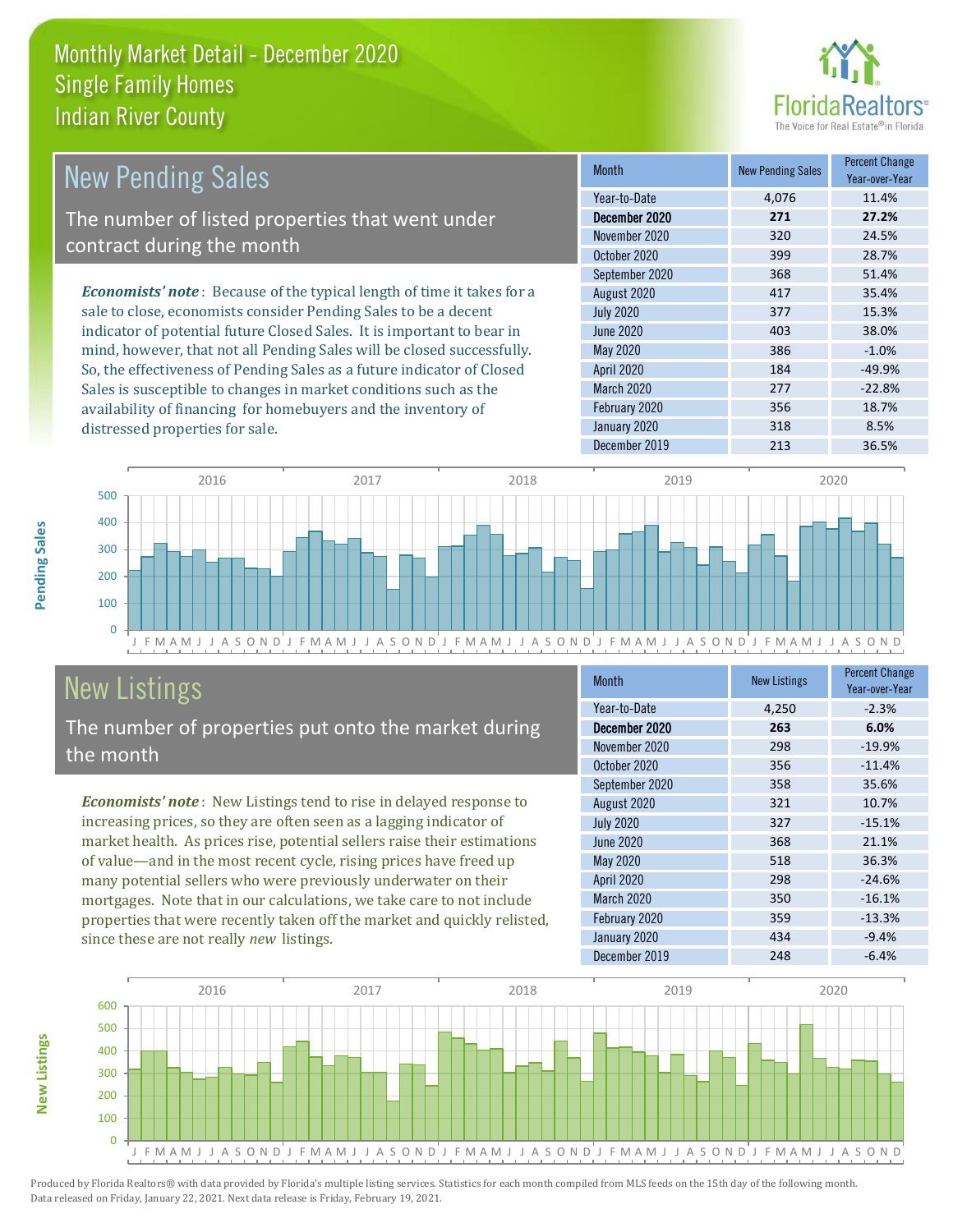

| New Pending Sales                                                              | <b>Month</b>      | <b>New Pending Sales</b> | <b>Percent Change</b><br>Year-over-Year |
|--------------------------------------------------------------------------------|-------------------|--------------------------|-----------------------------------------|
|                                                                                | Year-to-Date      | 4.076                    | 11.4%                                   |
| The number of listed properties that went under                                | December 2020     | 271                      | 27.2%                                   |
| contract during the month                                                      | November 2020     | 320                      | 24.5%                                   |
|                                                                                | October 2020      | 399                      | 28.7%                                   |
|                                                                                | September 2020    | 368                      | 51.4%                                   |
| <b>Economists' note</b> : Because of the typical length of time it takes for a | August 2020       | 417                      | 35.4%                                   |
| sale to close, economists consider Pending Sales to be a decent                | <b>July 2020</b>  | 377                      | 15.3%                                   |
| indicator of potential future Closed Sales. It is important to bear in         | June 2020         | 403                      | 38.0%                                   |
| mind, however, that not all Pending Sales will be closed successfully.         | May 2020          | 386                      | $-1.0%$                                 |
| So, the effectiveness of Pending Sales as a future indicator of Closed         | <b>April 2020</b> | 184                      | $-49.9%$                                |

J F M A M J J A S O N D J F M A M J J A S O N D J F M A M J J A S O N D J F M A M J J A S O N D J F M A M J J A S O N D  $\overline{0}$ 100 200 300 400 500 2016 2017 2018 2019 2020

# New Listings

distressed properties for sale.

The number of properties put onto the market during the month

Sales is susceptible to changes in market conditions such as the availability of financing for homebuyers and the inventory of

*Economists' note* : New Listings tend to rise in delayed response to increasing prices, so they are often seen as a lagging indicator of market health. As prices rise, potential sellers raise their estimations of value—and in the most recent cycle, rising prices have freed up many potential sellers who were previously underwater on their mortgages. Note that in our calculations, we take care to not include properties that were recently taken off the market and quickly relisted, since these are not really *new* listings.

| <b>Month</b>      | <b>New Listings</b> | <b>Percent Change</b><br>Year-over-Year |
|-------------------|---------------------|-----------------------------------------|
| Year-to-Date      | 4,250               | $-2.3%$                                 |
| December 2020     | 263                 | 6.0%                                    |
| November 2020     | 298                 | $-19.9%$                                |
| October 2020      | 356                 | $-11.4%$                                |
| September 2020    | 358                 | 35.6%                                   |
| August 2020       | 321                 | 10.7%                                   |
| <b>July 2020</b>  | 327                 | $-15.1%$                                |
| <b>June 2020</b>  | 368                 | 21.1%                                   |
| May 2020          | 518                 | 36.3%                                   |
| <b>April 2020</b> | 298                 | $-24.6%$                                |
| March 2020        | 350                 | $-16.1%$                                |
| February 2020     | 359                 | $-13.3%$                                |
| January 2020      | 434                 | $-9.4%$                                 |
| December 2019     | 248                 | $-6.4%$                                 |

March 2020 277 -22.8% February 2020 356 356 18.7% January 2020 318 318 8.5% December 2019 213 36.5%



Produced by Florida Realtors® with data provided by Florida's multiple listing services. Statistics for each month compiled from MLS feeds on the 15th day of the following month. Data released on Friday, January 22, 2021. Next data release is Friday, February 19, 2021.

**New Listings**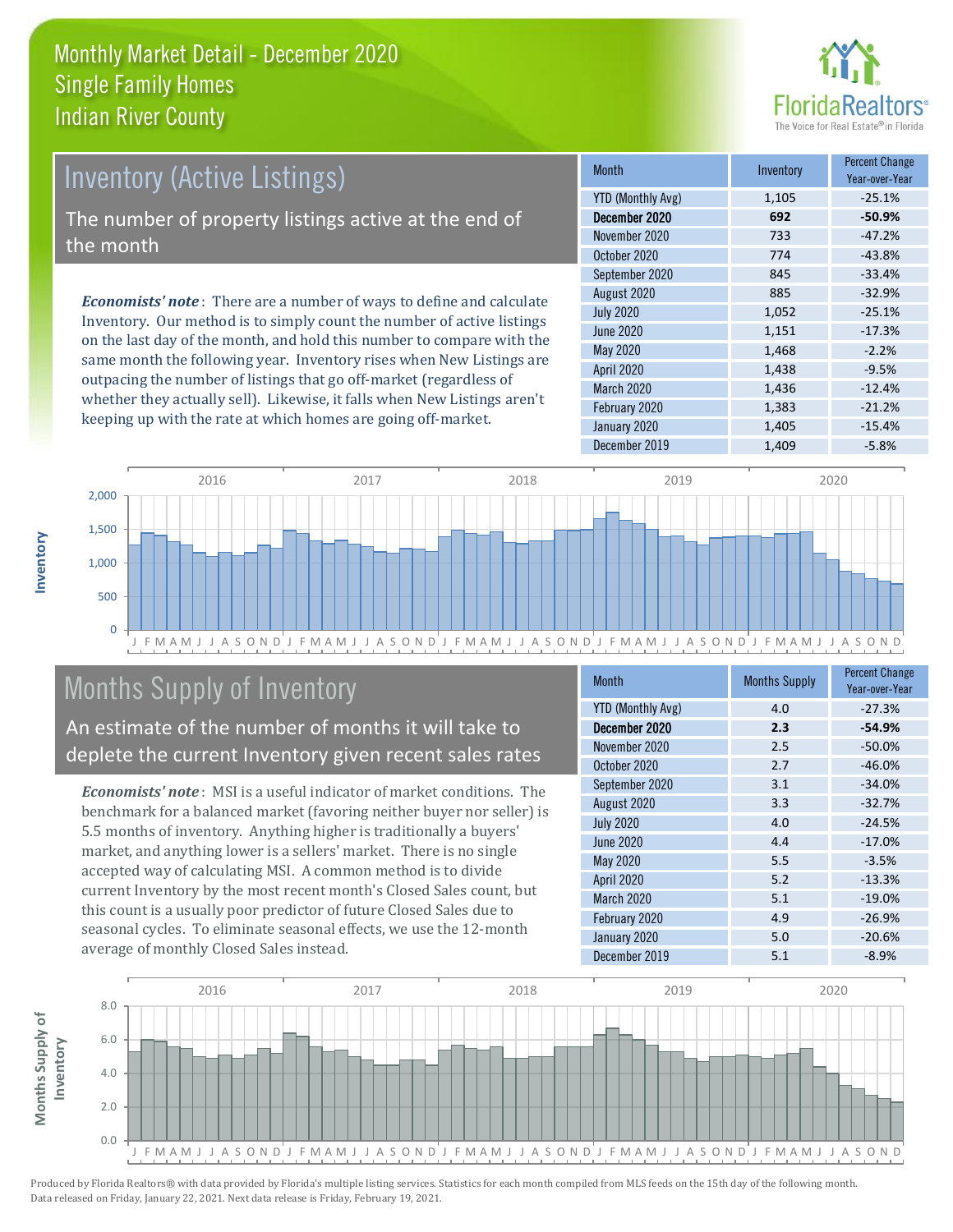

# Inventory (Active Listings)

The number of property listings active at the end of the month

*Economists' note* : There are a number of ways to define and calculate Inventory. Our method is to simply count the number of active listings on the last day of the month, and hold this number to compare with the same month the following year. Inventory rises when New Listings are outpacing the number of listings that go off-market (regardless of whether they actually sell). Likewise, it falls when New Listings aren't keeping up with the rate at which homes are going off-market.

| <b>Month</b>             | Inventory | <b>Percent Change</b><br>Year-over-Year |
|--------------------------|-----------|-----------------------------------------|
| <b>YTD (Monthly Avg)</b> | 1,105     | $-25.1%$                                |
| December 2020            | 692       | $-50.9%$                                |
| November 2020            | 733       | $-47.2%$                                |
| October 2020             | 774       | $-43.8%$                                |
| September 2020           | 845       | $-33.4%$                                |
| August 2020              | 885       | $-32.9%$                                |
| <b>July 2020</b>         | 1,052     | $-25.1%$                                |
| <b>June 2020</b>         | 1,151     | $-17.3%$                                |
| May 2020                 | 1,468     | $-2.2%$                                 |
| <b>April 2020</b>        | 1,438     | $-9.5%$                                 |
| March 2020               | 1,436     | $-12.4%$                                |
| February 2020            | 1,383     | $-21.2%$                                |
| January 2020             | 1,405     | $-15.4%$                                |
| December 2019            | 1,409     | $-5.8%$                                 |



# Months Supply of Inventory

An estimate of the number of months it will take to deplete the current Inventory given recent sales rates

*Economists' note* : MSI is a useful indicator of market conditions. The benchmark for a balanced market (favoring neither buyer nor seller) is 5.5 months of inventory. Anything higher is traditionally a buyers' market, and anything lower is a sellers' market. There is no single accepted way of calculating MSI. A common method is to divide current Inventory by the most recent month's Closed Sales count, but this count is a usually poor predictor of future Closed Sales due to seasonal cycles. To eliminate seasonal effects, we use the 12-month average of monthly Closed Sales instead.

| <b>Month</b>             | <b>Months Supply</b> | <b>Percent Change</b><br>Year-over-Year |
|--------------------------|----------------------|-----------------------------------------|
| <b>YTD (Monthly Avg)</b> | 4.0                  | $-27.3%$                                |
| December 2020            | 2.3                  | $-54.9%$                                |
| November 2020            | 2.5                  | $-50.0%$                                |
| October 2020             | 2.7                  | $-46.0%$                                |
| September 2020           | 3.1                  | $-34.0%$                                |
| August 2020              | 3.3                  | $-32.7%$                                |
| <b>July 2020</b>         | 4.0                  | $-24.5%$                                |
| <b>June 2020</b>         | 4.4                  | $-17.0%$                                |
| <b>May 2020</b>          | 5.5                  | $-3.5%$                                 |
| <b>April 2020</b>        | 5.2                  | $-13.3%$                                |
| <b>March 2020</b>        | 5.1                  | $-19.0%$                                |
| February 2020            | 4.9                  | $-26.9%$                                |
| January 2020             | 5.0                  | $-20.6%$                                |
| December 2019            | 5.1                  | $-8.9%$                                 |

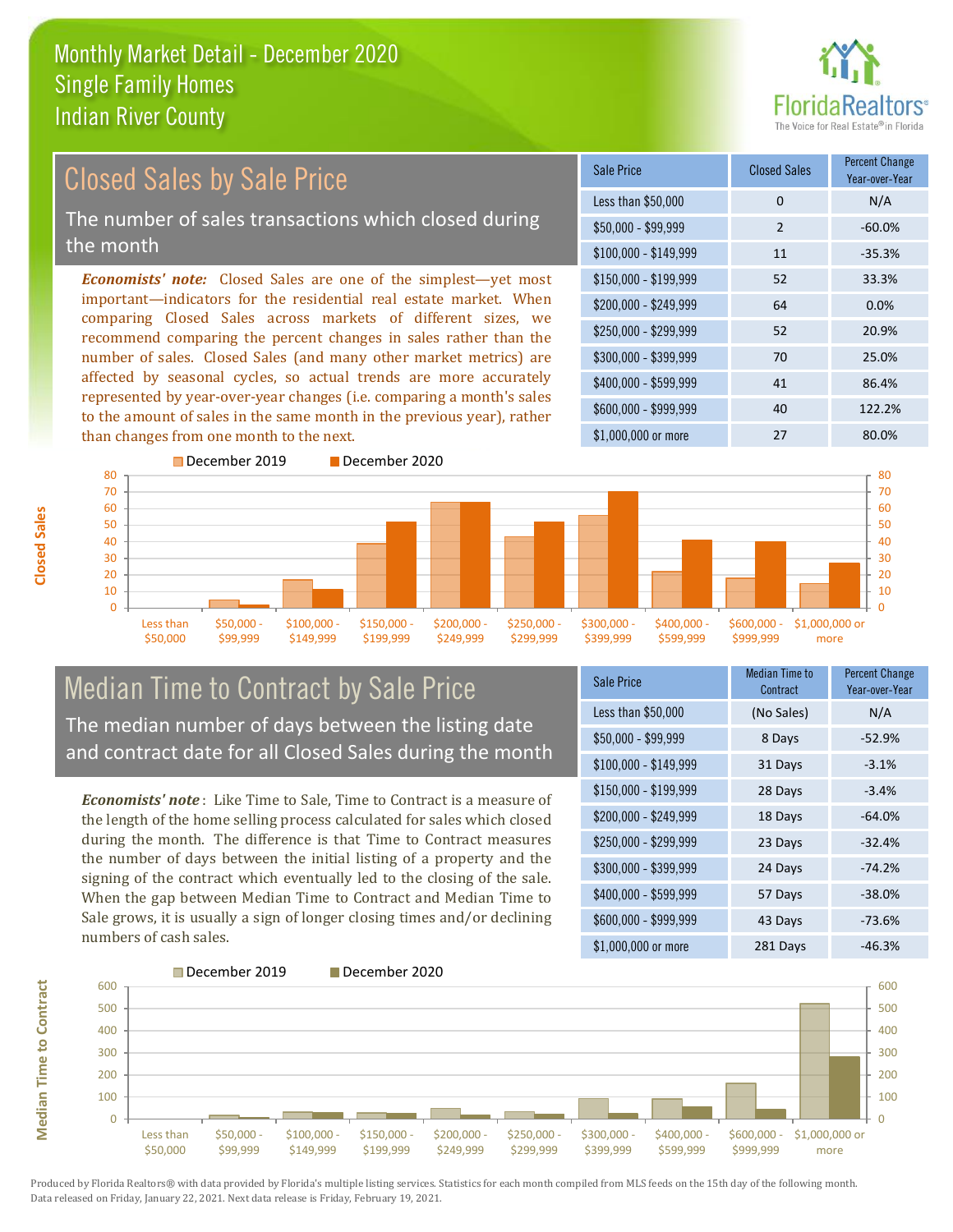

#### *Economists' note:* Closed Sales are one of the simplest—yet most important—indicators for the residential real estate market. When comparing Closed Sales across markets of different sizes, we recommend comparing the percent changes in sales rather than the number of sales. Closed Sales (and many other market metrics) are affected by seasonal cycles, so actual trends are more accurately represented by year-over-year changes (i.e. comparing a month's sales to the amount of sales in the same month in the previous year), rather than changes from one month to the next. \$1,000,000 or more 27 80.0% \$250,000 - \$299,999 52 20.9% \$300,000 - \$399,999 70 25.0% \$400,000 - \$599,999 41 86.4% \$600,000 - \$999,999 40 122.2% \$150,000 - \$199,999 52 33.3% \$200,000 - \$249,999 64 0.0%  $$100,000 - $149,999$  11 -35.3% Sale Price Closed Sales Percent Change Year-over-Year Less than \$50,000 0 0 N/A  $$50.000 - $99.999$  2 -60.0% Closed Sales by Sale Price The number of sales transactions which closed during the month



### Median Time to Contract by Sale Price The median number of days between the listing date and contract date for all Closed Sales during the month

*Economists' note* : Like Time to Sale, Time to Contract is a measure of the length of the home selling process calculated for sales which closed during the month. The difference is that Time to Contract measures the number of days between the initial listing of a property and the signing of the contract which eventually led to the closing of the sale. When the gap between Median Time to Contract and Median Time to Sale grows, it is usually a sign of longer closing times and/or declining numbers of cash sales.

| <b>Sale Price</b>     | <b>Median Time to</b><br>Contract | <b>Percent Change</b><br>Year-over-Year |
|-----------------------|-----------------------------------|-----------------------------------------|
| Less than \$50,000    | (No Sales)                        | N/A                                     |
| $$50,000 - $99,999$   | 8 Days                            | $-52.9%$                                |
| $$100,000 - $149,999$ | 31 Days                           | $-3.1%$                                 |
| $$150,000 - $199,999$ | 28 Days                           | $-3.4%$                                 |
| \$200,000 - \$249,999 | 18 Days                           | $-64.0%$                                |
| \$250,000 - \$299,999 | 23 Days                           | $-32.4%$                                |
| \$300,000 - \$399,999 | 24 Days                           | $-74.2%$                                |
| \$400,000 - \$599,999 | 57 Days                           | $-38.0%$                                |
| \$600,000 - \$999,999 | 43 Days                           | $-73.6%$                                |
| \$1,000,000 or more   | 281 Days                          | $-46.3%$                                |



**Closed Sales**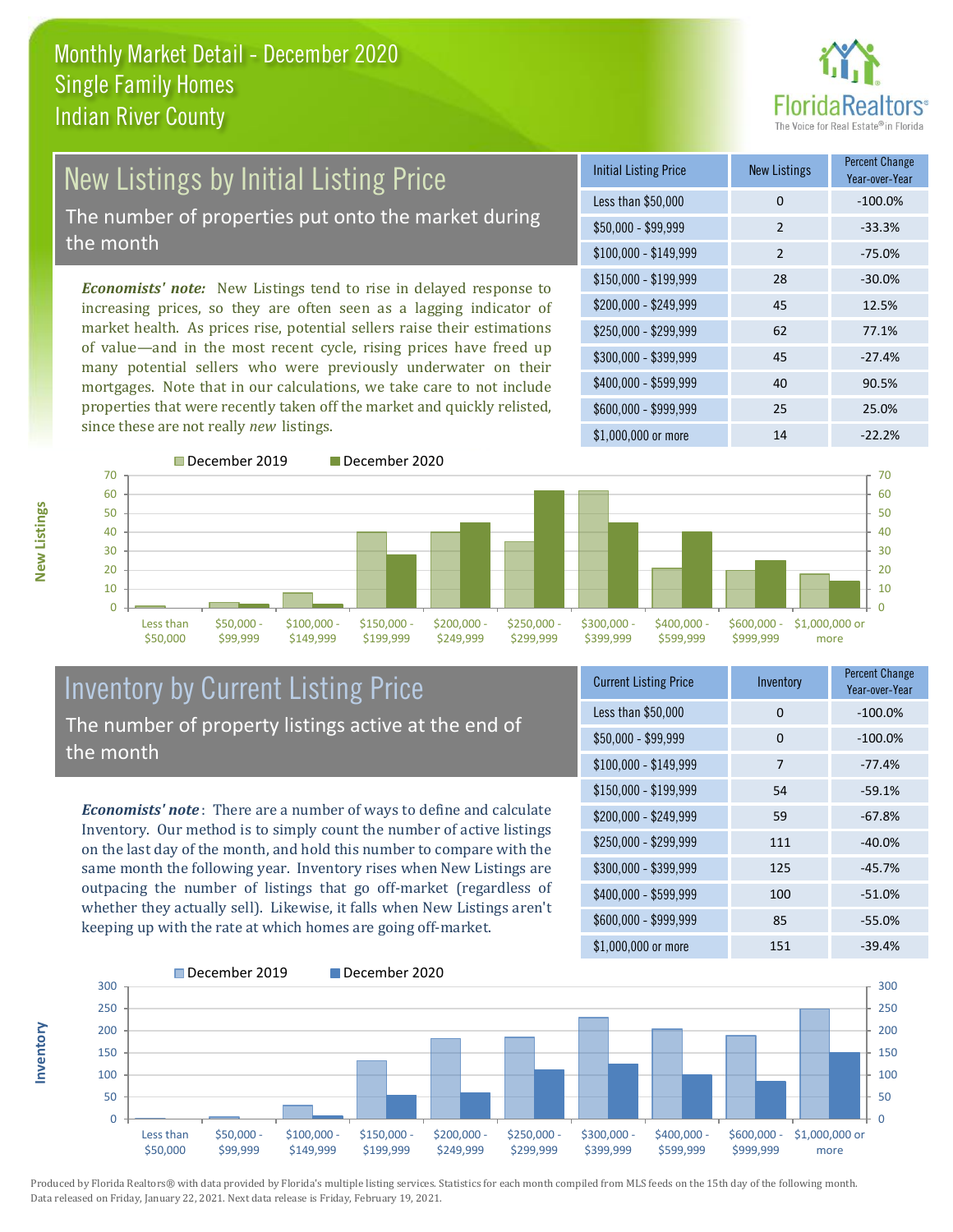

# New Listings by Initial Listing Price The number of properties put onto the market during

the month

*Economists' note:* New Listings tend to rise in delayed response to increasing prices, so they are often seen as a lagging indicator of market health. As prices rise, potential sellers raise their estimations of value—and in the most recent cycle, rising prices have freed up many potential sellers who were previously underwater on their mortgages. Note that in our calculations, we take care to not include properties that were recently taken off the market and quickly relisted, since these are not really *new* listings.

| <b>Initial Listing Price</b> | <b>New Listings</b> | <b>Percent Change</b><br>Year-over-Year |
|------------------------------|---------------------|-----------------------------------------|
| Less than \$50,000           | $\Omega$            | $-100.0%$                               |
| $$50,000 - $99,999$          | $\overline{2}$      | $-33.3%$                                |
| $$100,000 - $149,999$        | 2                   | $-75.0%$                                |
| $$150,000 - $199,999$        | 28                  | $-30.0%$                                |
| \$200,000 - \$249,999        | 45                  | 12.5%                                   |
| \$250,000 - \$299,999        | 62                  | 77.1%                                   |
| \$300,000 - \$399,999        | 45                  | $-27.4%$                                |
| \$400,000 - \$599,999        | 40                  | 90.5%                                   |
| \$600,000 - \$999,999        | 25                  | 25.0%                                   |
| \$1,000,000 or more          | 14                  | $-22.2%$                                |





#### Inventory by Current Listing Price The number of property listings active at the end of the month

*Economists' note* : There are a number of ways to define and calculate Inventory. Our method is to simply count the number of active listings on the last day of the month, and hold this number to compare with the same month the following year. Inventory rises when New Listings are outpacing the number of listings that go off-market (regardless of whether they actually sell). Likewise, it falls when New Listings aren't keeping up with the rate at which homes are going off-market.

| <b>Current Listing Price</b> | Inventory | <b>Percent Change</b><br>Year-over-Year |
|------------------------------|-----------|-----------------------------------------|
| Less than \$50,000           | 0         | $-100.0%$                               |
| $$50,000 - $99,999$          | 0         | $-100.0%$                               |
| $$100,000 - $149,999$        | 7         | $-77.4%$                                |
| $$150,000 - $199,999$        | 54        | $-59.1%$                                |
| \$200,000 - \$249,999        | 59        | $-67.8%$                                |
| \$250,000 - \$299,999        | 111       | $-40.0%$                                |
| \$300,000 - \$399,999        | 125       | $-45.7%$                                |
| \$400,000 - \$599,999        | 100       | $-51.0%$                                |
| \$600,000 - \$999,999        | 85        | $-55.0%$                                |
| \$1,000,000 or more          | 151       | $-39.4%$                                |



Produced by Florida Realtors® with data provided by Florida's multiple listing services. Statistics for each month compiled from MLS feeds on the 15th day of the following month. Data released on Friday, January 22, 2021. Next data release is Friday, February 19, 2021.

**Inventory**